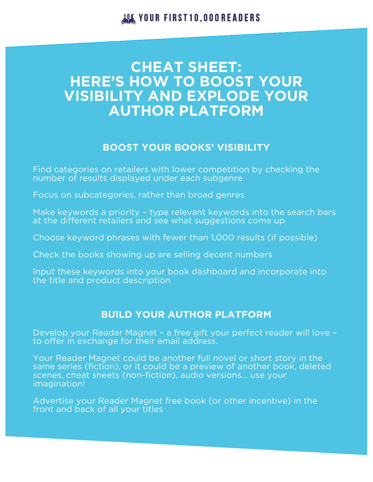**JOK YOUR FIRST10,000READERS** 

# **CHEAT SHEET: HERE'S HOW TO BOOST YOUR VISIBILITY AND EXPLODE YOUR AUTHOR PLATFORM**

## **BOOST YOUR BOOKS' VISIBILITY**

Find categories on retailers with lower competition by checking the number of results displayed under each subgenre

Focus on subcategories, rather than broad genres

Make keywords a priority – type relevant keywords into the search bars at the different retailers and see what suggestions come up

Choose keyword phrases with fewer than 1,000 results (if possible)

Check the books showing up are selling decent numbers

Input these keywords into your book dashboard and incorporate into the title and product description

## **BUILD YOUR AUTHOR PLATFORM**

Develop your Reader Magnet – a free gift your perfect reader will love – to offer in exchange for their email address.

Your Reader Magnet could be another full novel or short story in the same series (fiction), or it could be a preview of another book, deleted scenes, cheat sheets (non-fiction), audio versions… use your imagination!

Advertise your Reader Magnet free book (or other incentive) in the front and back of all your titles